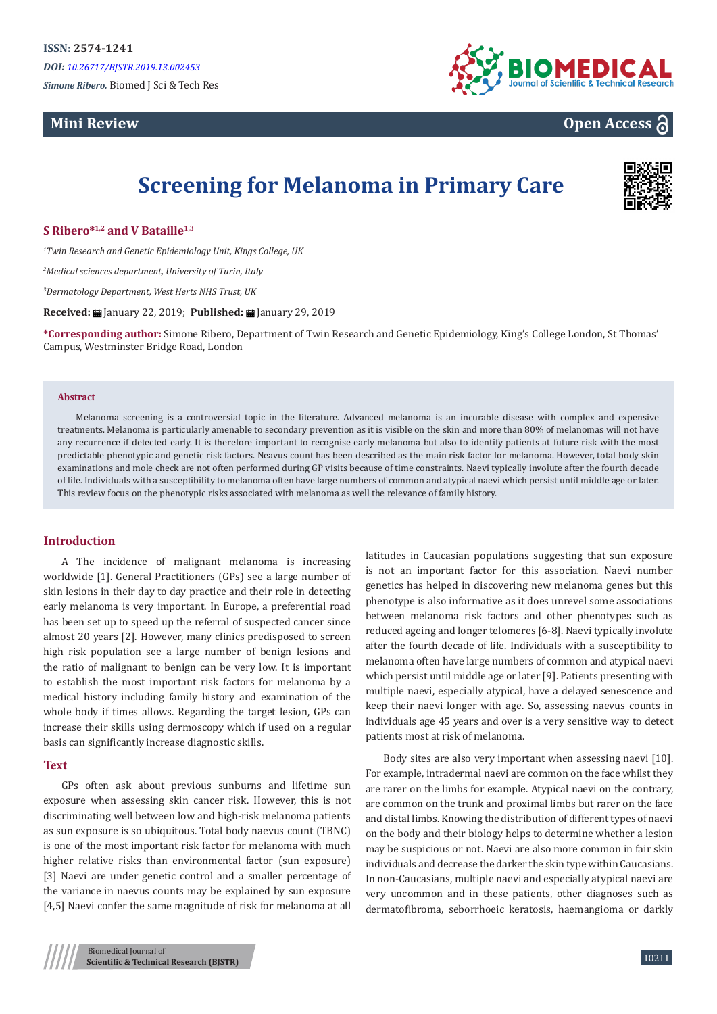# **Mini Review**



**Open Access**

# **Screening for Melanoma in Primary Care**



# **S Ribero\*1,2 and V Bataille1,3**

*1 Twin Research and Genetic Epidemiology Unit, Kings College, UK*

*2 Medical sciences department, University of Turin, Italy*

*3 Dermatology Department, West Herts NHS Trust, UK*

**Received:** January 22, 2019; **Published:** January 29, 2019

**\*Corresponding author:** Simone Ribero, Department of Twin Research and Genetic Epidemiology, King's College London, St Thomas' Campus, Westminster Bridge Road, London

#### **Abstract**

Melanoma screening is a controversial topic in the literature. Advanced melanoma is an incurable disease with complex and expensive treatments. Melanoma is particularly amenable to secondary prevention as it is visible on the skin and more than 80% of melanomas will not have any recurrence if detected early. It is therefore important to recognise early melanoma but also to identify patients at future risk with the most predictable phenotypic and genetic risk factors. Neavus count has been described as the main risk factor for melanoma. However, total body skin examinations and mole check are not often performed during GP visits because of time constraints. Naevi typically involute after the fourth decade of life. Individuals with a susceptibility to melanoma often have large numbers of common and atypical naevi which persist until middle age or later. This review focus on the phenotypic risks associated with melanoma as well the relevance of family history.

# **Introduction**

A The incidence of malignant melanoma is increasing worldwide [1]. General Practitioners (GPs) see a large number of skin lesions in their day to day practice and their role in detecting early melanoma is very important. In Europe, a preferential road has been set up to speed up the referral of suspected cancer since almost 20 years [2]. However, many clinics predisposed to screen high risk population see a large number of benign lesions and the ratio of malignant to benign can be very low. It is important to establish the most important risk factors for melanoma by a medical history including family history and examination of the whole body if times allows. Regarding the target lesion, GPs can increase their skills using dermoscopy which if used on a regular basis can significantly increase diagnostic skills.

# **Text**

GPs often ask about previous sunburns and lifetime sun exposure when assessing skin cancer risk. However, this is not discriminating well between low and high-risk melanoma patients as sun exposure is so ubiquitous. Total body naevus count (TBNC) is one of the most important risk factor for melanoma with much higher relative risks than environmental factor (sun exposure) [3] Naevi are under genetic control and a smaller percentage of the variance in naevus counts may be explained by sun exposure [4,5] Naevi confer the same magnitude of risk for melanoma at all

latitudes in Caucasian populations suggesting that sun exposure is not an important factor for this association. Naevi number genetics has helped in discovering new melanoma genes but this phenotype is also informative as it does unrevel some associations between melanoma risk factors and other phenotypes such as reduced ageing and longer telomeres [6-8]. Naevi typically involute after the fourth decade of life. Individuals with a susceptibility to melanoma often have large numbers of common and atypical naevi which persist until middle age or later [9]. Patients presenting with multiple naevi, especially atypical, have a delayed senescence and keep their naevi longer with age. So, assessing naevus counts in individuals age 45 years and over is a very sensitive way to detect patients most at risk of melanoma.

Body sites are also very important when assessing naevi [10]. For example, intradermal naevi are common on the face whilst they are rarer on the limbs for example. Atypical naevi on the contrary, are common on the trunk and proximal limbs but rarer on the face and distal limbs. Knowing the distribution of different types of naevi on the body and their biology helps to determine whether a lesion may be suspicious or not. Naevi are also more common in fair skin individuals and decrease the darker the skin type within Caucasians. In non-Caucasians, multiple naevi and especially atypical naevi are very uncommon and in these patients, other diagnoses such as dermatofibroma, seborrhoeic keratosis, haemangioma or darkly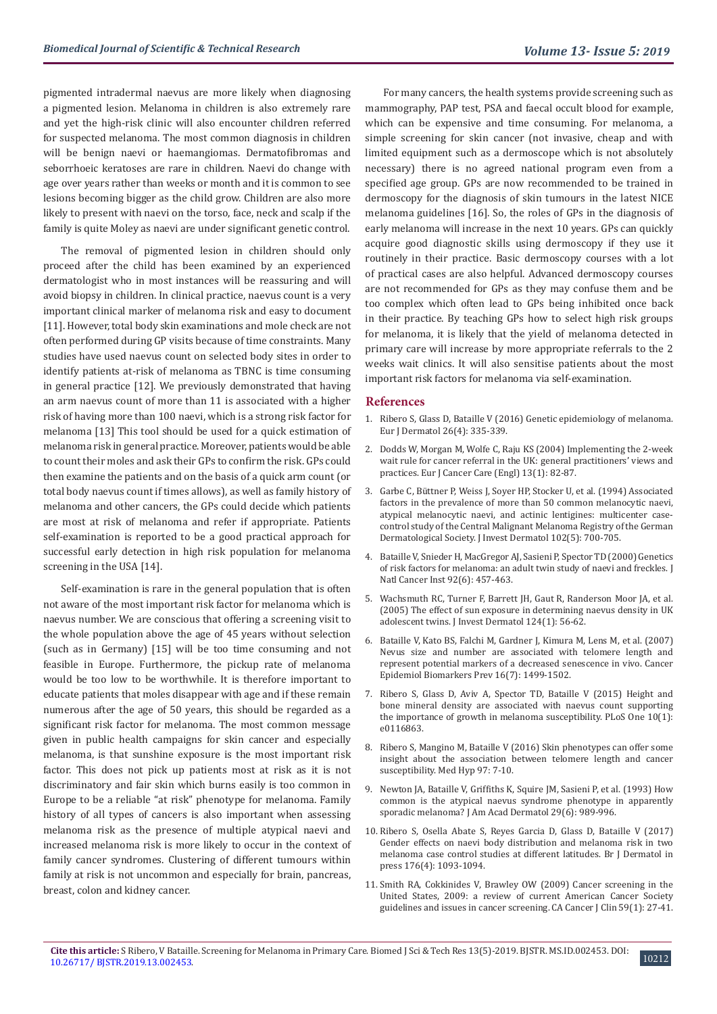pigmented intradermal naevus are more likely when diagnosing a pigmented lesion. Melanoma in children is also extremely rare and yet the high-risk clinic will also encounter children referred for suspected melanoma. The most common diagnosis in children will be benign naevi or haemangiomas. Dermatofibromas and seborrhoeic keratoses are rare in children. Naevi do change with age over years rather than weeks or month and it is common to see lesions becoming bigger as the child grow. Children are also more likely to present with naevi on the torso, face, neck and scalp if the family is quite Moley as naevi are under significant genetic control.

The removal of pigmented lesion in children should only proceed after the child has been examined by an experienced dermatologist who in most instances will be reassuring and will avoid biopsy in children. In clinical practice, naevus count is a very important clinical marker of melanoma risk and easy to document [11]. However, total body skin examinations and mole check are not often performed during GP visits because of time constraints. Many studies have used naevus count on selected body sites in order to identify patients at-risk of melanoma as TBNC is time consuming in general practice [12]. We previously demonstrated that having an arm naevus count of more than 11 is associated with a higher risk of having more than 100 naevi, which is a strong risk factor for melanoma [13] This tool should be used for a quick estimation of melanoma risk in general practice. Moreover, patients would be able to count their moles and ask their GPs to confirm the risk. GPs could then examine the patients and on the basis of a quick arm count (or total body naevus count if times allows), as well as family history of melanoma and other cancers, the GPs could decide which patients are most at risk of melanoma and refer if appropriate. Patients self-examination is reported to be a good practical approach for successful early detection in high risk population for melanoma screening in the USA [14].

Self-examination is rare in the general population that is often not aware of the most important risk factor for melanoma which is naevus number. We are conscious that offering a screening visit to the whole population above the age of 45 years without selection (such as in Germany) [15] will be too time consuming and not feasible in Europe. Furthermore, the pickup rate of melanoma would be too low to be worthwhile. It is therefore important to educate patients that moles disappear with age and if these remain numerous after the age of 50 years, this should be regarded as a significant risk factor for melanoma. The most common message given in public health campaigns for skin cancer and especially melanoma, is that sunshine exposure is the most important risk factor. This does not pick up patients most at risk as it is not discriminatory and fair skin which burns easily is too common in Europe to be a reliable "at risk" phenotype for melanoma. Family history of all types of cancers is also important when assessing melanoma risk as the presence of multiple atypical naevi and increased melanoma risk is more likely to occur in the context of family cancer syndromes. Clustering of different tumours within family at risk is not uncommon and especially for brain, pancreas, breast, colon and kidney cancer.

For many cancers, the health systems provide screening such as mammography, PAP test, PSA and faecal occult blood for example, which can be expensive and time consuming. For melanoma, a simple screening for skin cancer (not invasive, cheap and with limited equipment such as a dermoscope which is not absolutely necessary) there is no agreed national program even from a specified age group. GPs are now recommended to be trained in dermoscopy for the diagnosis of skin tumours in the latest NICE melanoma guidelines [16]. So, the roles of GPs in the diagnosis of early melanoma will increase in the next 10 years. GPs can quickly acquire good diagnostic skills using dermoscopy if they use it routinely in their practice. Basic dermoscopy courses with a lot of practical cases are also helpful. Advanced dermoscopy courses are not recommended for GPs as they may confuse them and be too complex which often lead to GPs being inhibited once back in their practice. By teaching GPs how to select high risk groups for melanoma, it is likely that the yield of melanoma detected in primary care will increase by more appropriate referrals to the 2 weeks wait clinics. It will also sensitise patients about the most important risk factors for melanoma via self-examination.

## **References**

- 1. [Ribero S, Glass D, Bataille V \(2016\) Genetic epidemiology of melanoma.](https://www.ncbi.nlm.nih.gov/pubmed/27436815) [Eur J Dermatol 26\(4\): 335-339.](https://www.ncbi.nlm.nih.gov/pubmed/27436815)
- 2. [Dodds W, Morgan M, Wolfe C, Raju KS \(2004\) Implementing the 2-week](https://www.ncbi.nlm.nih.gov/pubmed/14961779) [wait rule for cancer referral in the UK: general practitioners' views and](https://www.ncbi.nlm.nih.gov/pubmed/14961779) [practices. Eur J Cancer Care \(Engl\) 13\(1\): 82-87.](https://www.ncbi.nlm.nih.gov/pubmed/14961779)
- 3. [Garbe C, Büttner P, Weiss J, Soyer HP, Stocker U, et al. \(1994\) Associated](https://www.ncbi.nlm.nih.gov/pubmed/8176251) [factors in the prevalence of more than 50 common melanocytic naevi,](https://www.ncbi.nlm.nih.gov/pubmed/8176251) [atypical melanocytic naevi, and actinic lentigines: multicenter case](https://www.ncbi.nlm.nih.gov/pubmed/8176251)[control study of the Central Malignant Melanoma Registry of the German](https://www.ncbi.nlm.nih.gov/pubmed/8176251) [Dermatological Society. J Invest Dermatol 102\(5\): 700-705.](https://www.ncbi.nlm.nih.gov/pubmed/8176251)
- 4. [Bataille V, Snieder H, MacGregor AJ, Sasieni P, Spector TD \(2000\) Genetics](https://academic.oup.com/jnci/article/92/6/457/2965010) [of risk factors for melanoma: an adult twin study of naevi and freckles. J](https://academic.oup.com/jnci/article/92/6/457/2965010) [Natl Cancer Inst 92\(6\): 457-463.](https://academic.oup.com/jnci/article/92/6/457/2965010)
- 5. [Wachsmuth RC, Turner F, Barrett JH, Gaut R, Randerson Moor JA, et al.](https://www.ncbi.nlm.nih.gov/pubmed/15654953) [\(2005\) The effect of sun exposure in determining naevus density in UK](https://www.ncbi.nlm.nih.gov/pubmed/15654953) [adolescent twins. J Invest Dermatol 124\(1\): 56-62.](https://www.ncbi.nlm.nih.gov/pubmed/15654953)
- 6. [Bataille V, Kato BS, Falchi M, Gardner J, Kimura M, Lens M, et al. \(2007\)](https://www.ncbi.nlm.nih.gov/pubmed/17627017) [Nevus size and number are associated with telomere length and](https://www.ncbi.nlm.nih.gov/pubmed/17627017) [represent potential markers of a decreased senescence in vivo. Cancer](https://www.ncbi.nlm.nih.gov/pubmed/17627017) [Epidemiol Biomarkers Prev 16\(7\): 1499-1502.](https://www.ncbi.nlm.nih.gov/pubmed/17627017)
- 7. [Ribero S, Glass D, Aviv A, Spector TD, Bataille V \(2015\) Height and](https://www.ncbi.nlm.nih.gov/pubmed/25612317) [bone mineral density are associated with naevus count supporting](https://www.ncbi.nlm.nih.gov/pubmed/25612317) [the importance of growth in melanoma susceptibility. PLoS One 10\(1\):](https://www.ncbi.nlm.nih.gov/pubmed/25612317) [e0116863.](https://www.ncbi.nlm.nih.gov/pubmed/25612317)
- 8. [Ribero S, Mangino M, Bataille V \(2016\) Skin phenotypes can offer some](https://www.ncbi.nlm.nih.gov/pubmed/27876133) [insight about the association between telomere length and cancer](https://www.ncbi.nlm.nih.gov/pubmed/27876133) [susceptibility. Med Hyp 97: 7-10.](https://www.ncbi.nlm.nih.gov/pubmed/27876133)
- 9. [Newton JA, Bataille V, Griffiths K, Squire JM, Sasieni P, et al. \(1993\) How](https://www.ncbi.nlm.nih.gov/pubmed/8245266) [common is the atypical naevus syndrome phenotype in apparently](https://www.ncbi.nlm.nih.gov/pubmed/8245266) [sporadic melanoma? J Am Acad Dermatol 29\(6\): 989-996.](https://www.ncbi.nlm.nih.gov/pubmed/8245266)
- 10. [Ribero S, Osella Abate S, Reyes Garcia D, Glass D, Bataille V \(2017\)](https://www.ncbi.nlm.nih.gov/pubmed/27478920) [Gender effects on naevi body distribution and melanoma risk in two](https://www.ncbi.nlm.nih.gov/pubmed/27478920) [melanoma case control studies at different latitudes. Br J Dermatol in](https://www.ncbi.nlm.nih.gov/pubmed/27478920) [press 176\(4\): 1093-1094.](https://www.ncbi.nlm.nih.gov/pubmed/27478920)
- 11. [Smith RA, Cokkinides V, Brawley OW \(2009\) Cancer screening in the](https://www.ncbi.nlm.nih.gov/pubmed/19147867) [United States, 2009: a review of current American Cancer Society](https://www.ncbi.nlm.nih.gov/pubmed/19147867) [guidelines and issues in cancer screening. CA Cancer J Clin 59\(1\): 27-41.](https://www.ncbi.nlm.nih.gov/pubmed/19147867)

10212